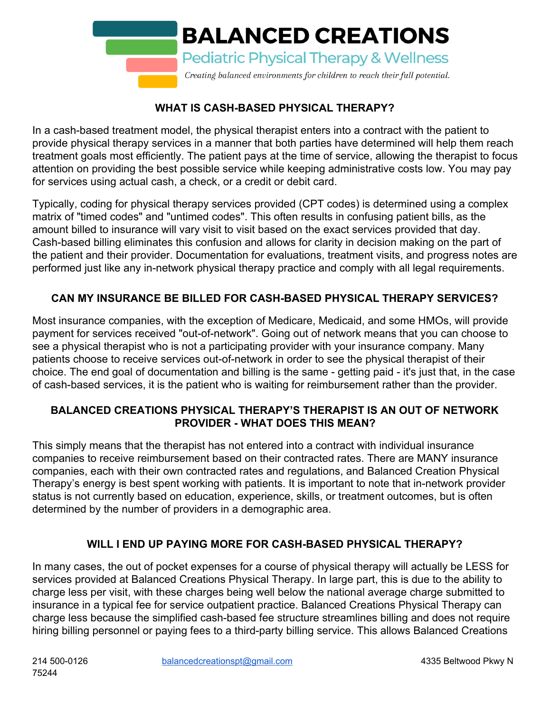

# **WHAT IS CASH-BASED PHYSICAL THERAPY?**

In a cash-based treatment model, the physical therapist enters into a contract with the patient to provide physical therapy services in a manner that both parties have determined will help them reach treatment goals most efficiently. The patient pays at the time of service, allowing the therapist to focus attention on providing the best possible service while keeping administrative costs low. You may pay for services using actual cash, a check, or a credit or debit card.

Typically, coding for physical therapy services provided (CPT codes) is determined using a complex matrix of "timed codes" and "untimed codes". This often results in confusing patient bills, as the amount billed to insurance will vary visit to visit based on the exact services provided that day. Cash-based billing eliminates this confusion and allows for clarity in decision making on the part of the patient and their provider. Documentation for evaluations, treatment visits, and progress notes are performed just like any in-network physical therapy practice and comply with all legal requirements.

# **CAN MY INSURANCE BE BILLED FOR CASH-BASED PHYSICAL THERAPY SERVICES?**

Most insurance companies, with the exception of Medicare, Medicaid, and some HMOs, will provide payment for services received "out-of-network". Going out of network means that you can choose to see a physical therapist who is not a participating provider with your insurance company. Many patients choose to receive services out-of-network in order to see the physical therapist of their choice. The end goal of documentation and billing is the same - getting paid - it's just that, in the case of cash-based services, it is the patient who is waiting for reimbursement rather than the provider.

#### **BALANCED CREATIONS PHYSICAL THERAPY'S THERAPIST IS AN OUT OF NETWORK PROVIDER - WHAT DOES THIS MEAN?**

This simply means that the therapist has not entered into a contract with individual insurance companies to receive reimbursement based on their contracted rates. There are MANY insurance companies, each with their own contracted rates and regulations, and Balanced Creation Physical Therapy's energy is best spent working with patients. It is important to note that in-network provider status is not currently based on education, experience, skills, or treatment outcomes, but is often determined by the number of providers in a demographic area.

# **WILL I END UP PAYING MORE FOR CASH-BASED PHYSICAL THERAPY?**

In many cases, the out of pocket expenses for a course of physical therapy will actually be LESS for services provided at Balanced Creations Physical Therapy. In large part, this is due to the ability to charge less per visit, with these charges being well below the national average charge submitted to insurance in a typical fee for service outpatient practice. Balanced Creations Physical Therapy can charge less because the simplified cash-based fee structure streamlines billing and does not require hiring billing personnel or paying fees to a third-party billing service. This allows Balanced Creations